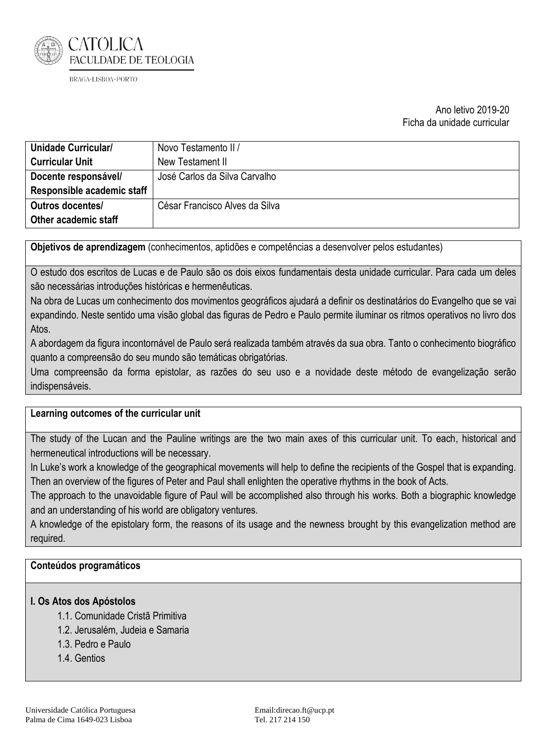

## Ano letivo 2019-20 Ficha da unidade curricular

| Unidade Curricular/        | Novo Testamento II /           |
|----------------------------|--------------------------------|
| <b>Curricular Unit</b>     | New Testament II               |
| Docente responsável/       | José Carlos da Silva Carvalho  |
| Responsible academic staff |                                |
| <b>Outros docentes/</b>    | César Francisco Alves da Silva |
| Other academic staff       |                                |

**Objetivos de aprendizagem** (conhecimentos, aptidões e competências a desenvolver pelos estudantes)

O estudo dos escritos de Lucas e de Paulo são os dois eixos fundamentais desta unidade curricular. Para cada um deles são necessárias introduções históricas e hermenêuticas.

Na obra de Lucas um conhecimento dos movimentos geográficos ajudará a definir os destinatários do Evangelho que se vai expandindo. Neste sentido uma visão global das figuras de Pedro e Paulo permite iluminar os ritmos operativos no livro dos Atos.

A abordagem da figura incontornável de Paulo será realizada também através da sua obra. Tanto o conhecimento biográfico quanto a compreensão do seu mundo são temáticas obrigatórias.

Uma compreensão da forma epistolar, as razões do seu uso e a novidade deste método de evangelização serão indispensáveis.

#### **Learning outcomes of the curricular unit**

The study of the Lucan and the Pauline writings are the two main axes of this curricular unit. To each, historical and hermeneutical introductions will be necessary.

In Luke's work a knowledge of the geographical movements will help to define the recipients of the Gospel that is expanding. Then an overview of the figures of Peter and Paul shall enlighten the operative rhythms in the book of Acts.

The approach to the unavoidable figure of Paul will be accomplished also through his works. Both a biographic knowledge and an understanding of his world are obligatory ventures.

A knowledge of the epistolary form, the reasons of its usage and the newness brought by this evangelization method are required.

## **Conteúdos programáticos**

#### **I. Os Atos dos Apóstolos**

- 1.1. Comunidade Cristã Primitiva
- 1.2. Jerusalém, Judeia e Samaria
- 1.3. Pedro e Paulo
- 1.4. Gentios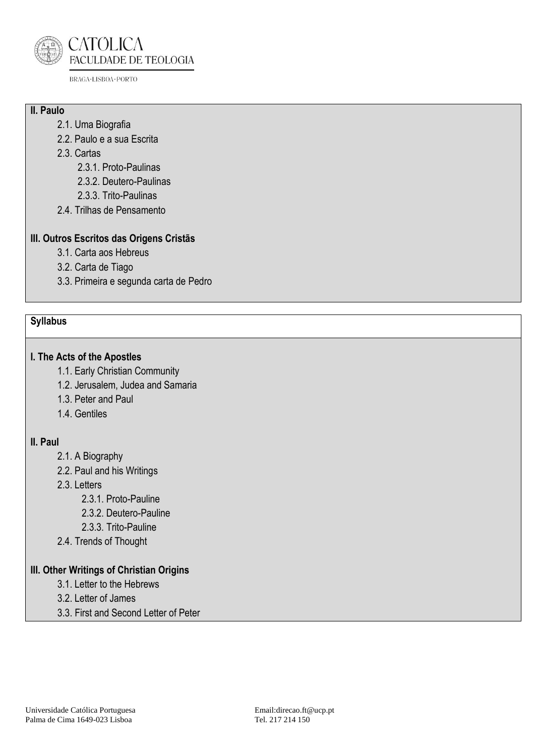

# **II. Paulo**

- 2.1. Uma Biografia
- 2.2. Paulo e a sua Escrita
- 2.3. Cartas
	- 2.3.1. Proto-Paulinas
	- 2.3.2. Deutero-Paulinas
	- 2.3.3. Trito-Paulinas
- 2.4. Trilhas de Pensamento

# **III. Outros Escritos das Origens Cristãs**

- 3.1. Carta aos Hebreus
- 3.2. Carta de Tiago
- 3.3. Primeira e segunda carta de Pedro

# **Syllabus**

# **I. The Acts of the Apostles**

- 1.1. Early Christian Community
- 1.2. Jerusalem, Judea and Samaria
- 1.3. Peter and Paul
- 1.4. Gentiles

# **II. Paul**

- 2.1. A Biography
- 2.2. Paul and his Writings
- 2.3. Letters
	- 2.3.1. Proto-Pauline
		- 2.3.2. Deutero-Pauline
		- 2.3.3. Trito-Pauline
- 2.4. Trends of Thought

# **III. Other Writings of Christian Origins**

- 3.1. Letter to the Hebrews
- 3.2. Letter of James
- 3.3. First and Second Letter of Peter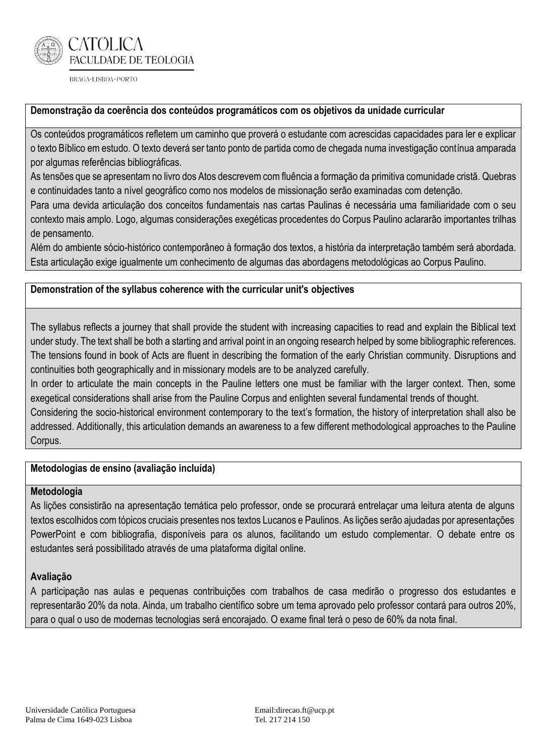

## **Demonstração da coerência dos conteúdos programáticos com os objetivos da unidade curricular**

Os conteúdos programáticos refletem um caminho que proverá o estudante com acrescidas capacidades para ler e explicar o texto Bíblico em estudo. O texto deverá ser tanto ponto de partida como de chegada numa investigação contínua amparada por algumas referências bibliográficas.

As tensões que se apresentam no livro dos Atos descrevem com fluência a formação da primitiva comunidade cristã. Quebras e continuidades tanto a nível geográfico como nos modelos de missionação serão examinadas com detenção.

Para uma devida articulação dos conceitos fundamentais nas cartas Paulinas é necessária uma familiaridade com o seu contexto mais amplo. Logo, algumas considerações exegéticas procedentes do Corpus Paulino aclararão importantes trilhas de pensamento.

Além do ambiente sócio-histórico contemporâneo à formação dos textos, a história da interpretação também será abordada. Esta articulação exige igualmente um conhecimento de algumas das abordagens metodológicas ao Corpus Paulino.

## **Demonstration of the syllabus coherence with the curricular unit's objectives**

The syllabus reflects a journey that shall provide the student with increasing capacities to read and explain the Biblical text under study. The text shall be both a starting and arrival point in an ongoing research helped by some bibliographic references. The tensions found in book of Acts are fluent in describing the formation of the early Christian community. Disruptions and continuities both geographically and in missionary models are to be analyzed carefully.

In order to articulate the main concepts in the Pauline letters one must be familiar with the larger context. Then, some exegetical considerations shall arise from the Pauline Corpus and enlighten several fundamental trends of thought.

Considering the socio-historical environment contemporary to the text's formation, the history of interpretation shall also be addressed. Additionally, this articulation demands an awareness to a few different methodological approaches to the Pauline Corpus.

#### **Metodologias de ensino (avaliação incluída)**

#### **Metodologia**

As lições consistirão na apresentação temática pelo professor, onde se procurará entrelaçar uma leitura atenta de alguns textos escolhidos com tópicos cruciais presentes nos textos Lucanos e Paulinos. As lições serão ajudadas por apresentações PowerPoint e com bibliografia, disponíveis para os alunos, facilitando um estudo complementar. O debate entre os estudantes será possibilitado através de uma plataforma digital online.

# **Avaliação**

A participação nas aulas e pequenas contribuições com trabalhos de casa medirão o progresso dos estudantes e representarão 20% da nota. Ainda, um trabalho científico sobre um tema aprovado pelo professor contará para outros 20%, para o qual o uso de modernas tecnologias será encorajado. O exame final terá o peso de 60% da nota final.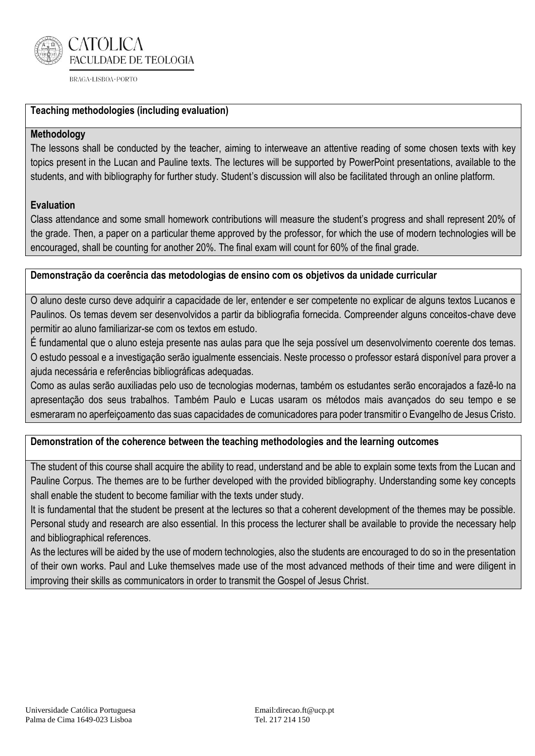

# **Teaching methodologies (including evaluation)**

## **Methodology**

The lessons shall be conducted by the teacher, aiming to interweave an attentive reading of some chosen texts with key topics present in the Lucan and Pauline texts. The lectures will be supported by PowerPoint presentations, available to the students, and with bibliography for further study. Student's discussion will also be facilitated through an online platform.

## **Evaluation**

Class attendance and some small homework contributions will measure the student's progress and shall represent 20% of the grade. Then, a paper on a particular theme approved by the professor, for which the use of modern technologies will be encouraged, shall be counting for another 20%. The final exam will count for 60% of the final grade.

## **Demonstração da coerência das metodologias de ensino com os objetivos da unidade curricular**

O aluno deste curso deve adquirir a capacidade de ler, entender e ser competente no explicar de alguns textos Lucanos e Paulinos. Os temas devem ser desenvolvidos a partir da bibliografia fornecida. Compreender alguns conceitos-chave deve permitir ao aluno familiarizar-se com os textos em estudo.

É fundamental que o aluno esteja presente nas aulas para que lhe seja possível um desenvolvimento coerente dos temas. O estudo pessoal e a investigação serão igualmente essenciais. Neste processo o professor estará disponível para prover a ajuda necessária e referências bibliográficas adequadas.

Como as aulas serão auxiliadas pelo uso de tecnologias modernas, também os estudantes serão encorajados a fazê-lo na apresentação dos seus trabalhos. Também Paulo e Lucas usaram os métodos mais avançados do seu tempo e se esmeraram no aperfeiçoamento das suas capacidades de comunicadores para poder transmitir o Evangelho de Jesus Cristo.

#### **Demonstration of the coherence between the teaching methodologies and the learning outcomes**

The student of this course shall acquire the ability to read, understand and be able to explain some texts from the Lucan and Pauline Corpus. The themes are to be further developed with the provided bibliography. Understanding some key concepts shall enable the student to become familiar with the texts under study.

It is fundamental that the student be present at the lectures so that a coherent development of the themes may be possible. Personal study and research are also essential. In this process the lecturer shall be available to provide the necessary help and bibliographical references.

As the lectures will be aided by the use of modern technologies, also the students are encouraged to do so in the presentation of their own works. Paul and Luke themselves made use of the most advanced methods of their time and were diligent in improving their skills as communicators in order to transmit the Gospel of Jesus Christ.